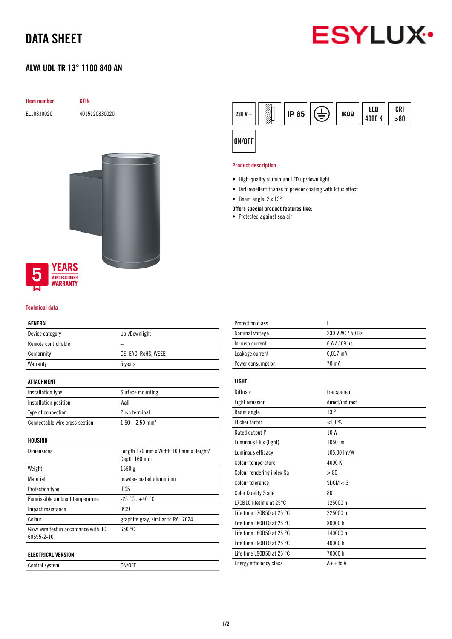## DATA SHEET

# **ESYLUX**

### ALVA UDL TR 13° 1100 840 AN



#### Technical data

#### GENERAL

| Device category     | Up-/Downlight       |
|---------------------|---------------------|
| Remote controllable |                     |
| Conformity          | CE, EAC, RoHS, WEEE |
| Warranty            | 5 years             |

#### ATTACHMENT

| Installation type              | Surface mounting              |
|--------------------------------|-------------------------------|
| Installation position          | Wall                          |
| Type of connection             | Push terminal                 |
| Connectable wire cross section | $1,50 - 2,50$ mm <sup>2</sup> |

HOUSING

| <b>Dimensions</b>                                   | Length 176 mm x Width 100 mm x Height/<br>Depth 160 mm |
|-----------------------------------------------------|--------------------------------------------------------|
| Weight                                              | 1550g                                                  |
| Material                                            | powder-coated aluminium                                |
| Protection type                                     | <b>IP65</b>                                            |
| Permissible ambient temperature                     | $-25 °C+40 °C$                                         |
| Impact resistance                                   | <b>IK09</b>                                            |
| Colour                                              | graphite gray, similar to RAL 7024                     |
| Glow wire test in accordance with IEC<br>60695-2-10 | 650 °C                                                 |
| ELECTRICAL VERSION                                  |                                                        |

Control system ON/OFF



#### Product description

- High-quality aluminium LED up/down light
- Dirt-repellent thanks to powder coating with lotus effect
- Beam angle: 2 x 13°

#### Offers special product features like:

• Protected against sea air

| <b>Protection class</b>             | ı                |
|-------------------------------------|------------------|
| Nominal voltage                     | 230 V AC / 50 Hz |
| In-rush current                     | 6 A / 369 µs     |
| Leakage current                     | $0.017$ mA       |
| Power consumption                   | 70 mA            |
| LIGHT                               |                  |
|                                     |                  |
| Diffusor                            | transparent      |
| Light emission                      | direct/indirect  |
| Beam angle                          | 13°              |
| <b>Flicker factor</b>               | <10%             |
| Rated output P                      | 10W              |
| Luminous Flux (light)               | 1050 lm          |
| Luminous efficacy                   | 105,00 lm/W      |
| Colour temperature                  | 4000K            |
| Colour rendering index Ra           | > 80             |
| Colour tolerance                    | SDCM < 3         |
| <b>Color Quality Scale</b>          | 80               |
| L70B10 lifetime at 25°C             | 125000 h         |
| Life time L70B50 at 25 $^{\circ}$ C | 225000 h         |
| Life time L80B10 at 25 $^{\circ}$ C | 80000 h          |
| Life time L80B50 at 25 $^{\circ}$ C | 140000 h         |
| Life time L90B10 at 25 $^{\circ}$ C | 40000 h          |
| Life time L90B50 at 25 $^{\circ}$ C | 70000 h          |
| Energy efficiency class             | $A++$ to $A$     |
|                                     |                  |